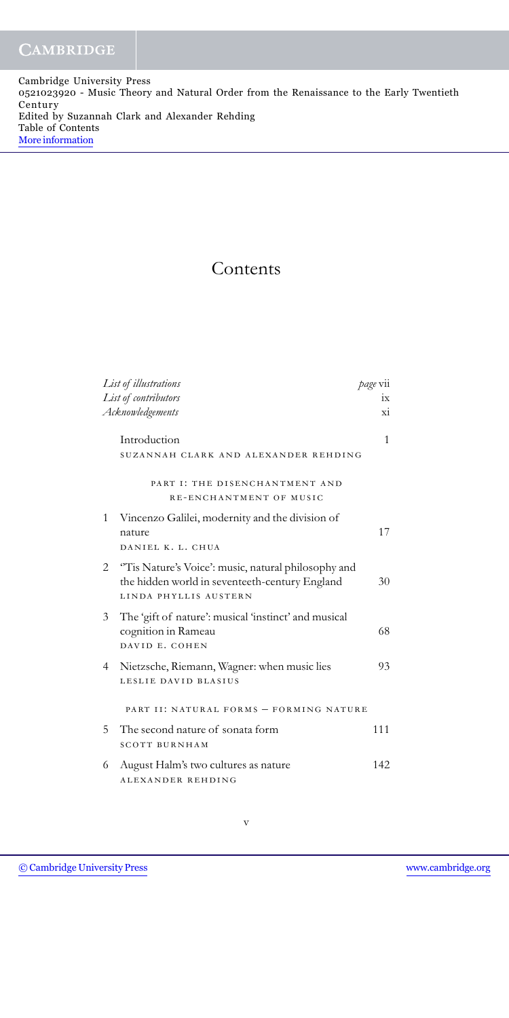Cambridge University Press 0521023920 - Music Theory and Natural Order from the Renaissance to the Early Twentieth Century Edited by Suzannah Clark and Alexander Rehding Table of Contents [More information](http://www.cambridge.org/0521023920)

## Contents

|                | List of illustrations                                                                                                          | page vii |
|----------------|--------------------------------------------------------------------------------------------------------------------------------|----------|
|                | List of contributors                                                                                                           | ix       |
|                | Acknowledgements                                                                                                               | хi       |
|                | Introduction                                                                                                                   | 1        |
|                | SUZANNAH CLARK AND ALEXANDER REHDING                                                                                           |          |
|                | PART I: THE DISENCHANTMENT AND                                                                                                 |          |
|                | RE-ENCHANTMENT OF MUSIC                                                                                                        |          |
| 1              | Vincenzo Galilei, modernity and the division of<br>nature<br>DANIEL K. L. CHUA                                                 | 17       |
|                |                                                                                                                                |          |
| 2              | "Tis Nature's Voice': music, natural philosophy and<br>the hidden world in seventeeth-century England<br>LINDA PHYLLIS AUSTERN | 30       |
| 3              | The 'gift of nature': musical 'instinct' and musical<br>cognition in Rameau<br>DAVID E. COHEN                                  | 68       |
| $\overline{4}$ | Nietzsche, Riemann, Wagner: when music lies<br>LESLIE DAVID BLASIUS                                                            | 93       |
|                | PART II: NATURAL FORMS - FORMING NATURE                                                                                        |          |
| 5              | The second nature of sonata form<br><b>SCOTT BURNHAM</b>                                                                       | 111      |
| 6              | August Halm's two cultures as nature<br>ALEXANDER REHDING                                                                      | 142      |